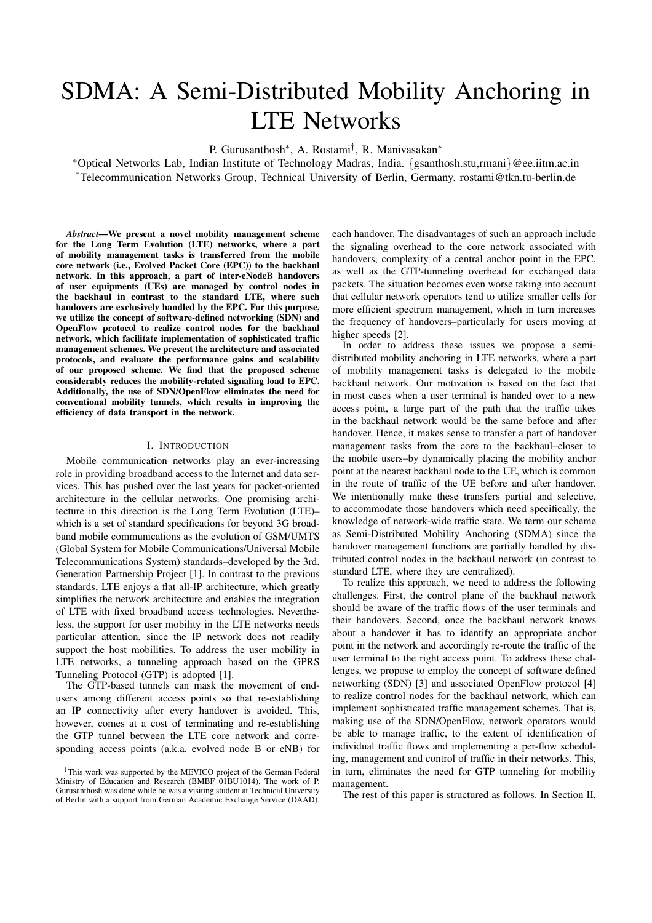# SDMA: A Semi-Distributed Mobility Anchoring in LTE Networks

P. Gurusanthosh<sup>\*</sup>, A. Rostami<sup>†</sup>, R. Manivasakan<sup>\*</sup>

⇤Optical Networks Lab, Indian Institute of Technology Madras, India. *{*gsanthosh.stu,rmani*}*@ee.iitm.ac.in *†*Telecommunication Networks Group, Technical University of Berlin, Germany. rostami@tkn.tu-berlin.de

*Abstract*—We present a novel mobility management scheme for the Long Term Evolution (LTE) networks, where a part of mobility management tasks is transferred from the mobile core network (i.e., Evolved Packet Core (EPC)) to the backhaul network. In this approach, a part of inter-eNodeB handovers of user equipments (UEs) are managed by control nodes in the backhaul in contrast to the standard LTE, where such handovers are exclusively handled by the EPC. For this purpose, we utilize the concept of software-defined networking (SDN) and OpenFlow protocol to realize control nodes for the backhaul network, which facilitate implementation of sophisticated traffic management schemes. We present the architecture and associated protocols, and evaluate the performance gains and scalability of our proposed scheme. We find that the proposed scheme considerably reduces the mobility-related signaling load to EPC. Additionally, the use of SDN/OpenFlow eliminates the need for conventional mobility tunnels, which results in improving the efficiency of data transport in the network.

#### I. INTRODUCTION

Mobile communication networks play an ever-increasing role in providing broadband access to the Internet and data services. This has pushed over the last years for packet-oriented architecture in the cellular networks. One promising architecture in this direction is the Long Term Evolution (LTE)– which is a set of standard specifications for beyond 3G broadband mobile communications as the evolution of GSM/UMTS (Global System for Mobile Communications/Universal Mobile Telecommunications System) standards–developed by the 3rd. Generation Partnership Project [1]. In contrast to the previous standards, LTE enjoys a flat all-IP architecture, which greatly simplifies the network architecture and enables the integration of LTE with fixed broadband access technologies. Nevertheless, the support for user mobility in the LTE networks needs particular attention, since the IP network does not readily support the host mobilities. To address the user mobility in LTE networks, a tunneling approach based on the GPRS Tunneling Protocol (GTP) is adopted [1].

The GTP-based tunnels can mask the movement of endusers among different access points so that re-establishing an IP connectivity after every handover is avoided. This, however, comes at a cost of terminating and re-establishing the GTP tunnel between the LTE core network and corresponding access points (a.k.a. evolved node B or eNB) for each handover. The disadvantages of such an approach include the signaling overhead to the core network associated with handovers, complexity of a central anchor point in the EPC, as well as the GTP-tunneling overhead for exchanged data packets. The situation becomes even worse taking into account that cellular network operators tend to utilize smaller cells for more efficient spectrum management, which in turn increases the frequency of handovers–particularly for users moving at higher speeds [2].

In order to address these issues we propose a semidistributed mobility anchoring in LTE networks, where a part of mobility management tasks is delegated to the mobile backhaul network. Our motivation is based on the fact that in most cases when a user terminal is handed over to a new access point, a large part of the path that the traffic takes in the backhaul network would be the same before and after handover. Hence, it makes sense to transfer a part of handover management tasks from the core to the backhaul–closer to the mobile users–by dynamically placing the mobility anchor point at the nearest backhaul node to the UE, which is common in the route of traffic of the UE before and after handover. We intentionally make these transfers partial and selective, to accommodate those handovers which need specifically, the knowledge of network-wide traffic state. We term our scheme as Semi-Distributed Mobility Anchoring (SDMA) since the handover management functions are partially handled by distributed control nodes in the backhaul network (in contrast to standard LTE, where they are centralized).

To realize this approach, we need to address the following challenges. First, the control plane of the backhaul network should be aware of the traffic flows of the user terminals and their handovers. Second, once the backhaul network knows about a handover it has to identify an appropriate anchor point in the network and accordingly re-route the traffic of the user terminal to the right access point. To address these challenges, we propose to employ the concept of software defined networking (SDN) [3] and associated OpenFlow protocol [4] to realize control nodes for the backhaul network, which can implement sophisticated traffic management schemes. That is, making use of the SDN/OpenFlow, network operators would be able to manage traffic, to the extent of identification of individual traffic flows and implementing a per-flow scheduling, management and control of traffic in their networks. This, in turn, eliminates the need for GTP tunneling for mobility management.

The rest of this paper is structured as follows. In Section II,

<sup>&</sup>lt;sup>1</sup>This work was supported by the MEVICO project of the German Federal Ministry of Education and Research (BMBF 01BU1014). The work of P. Gurusanthosh was done while he was a visiting student at Technical University of Berlin with a support from German Academic Exchange Service (DAAD).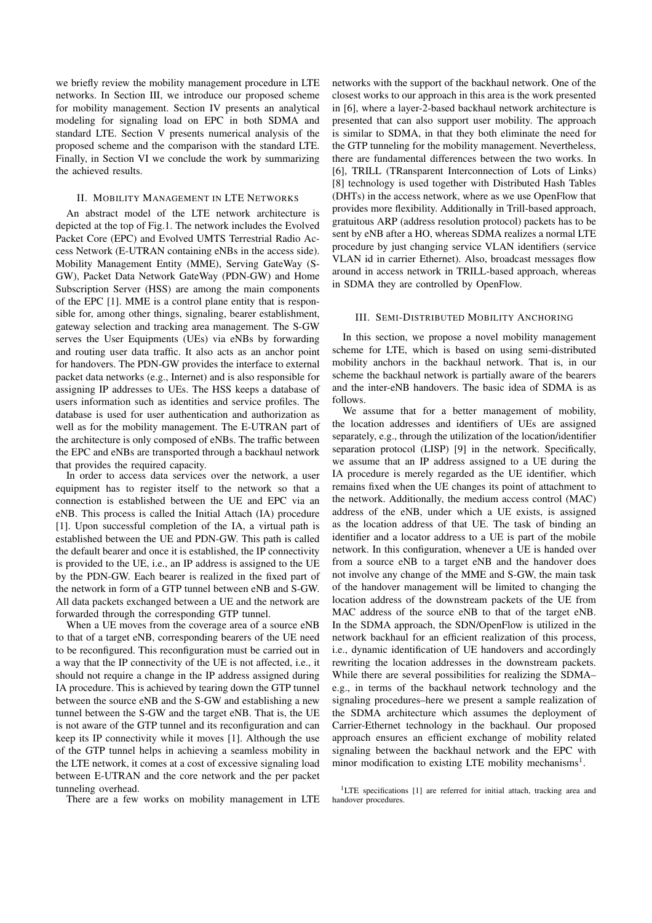we briefly review the mobility management procedure in LTE networks. In Section III, we introduce our proposed scheme for mobility management. Section IV presents an analytical modeling for signaling load on EPC in both SDMA and standard LTE. Section V presents numerical analysis of the proposed scheme and the comparison with the standard LTE. Finally, in Section VI we conclude the work by summarizing the achieved results.

# II. MOBILITY MANAGEMENT IN LTE NETWORKS

An abstract model of the LTE network architecture is depicted at the top of Fig.1. The network includes the Evolved Packet Core (EPC) and Evolved UMTS Terrestrial Radio Access Network (E-UTRAN containing eNBs in the access side). Mobility Management Entity (MME), Serving GateWay (S-GW), Packet Data Network GateWay (PDN-GW) and Home Subscription Server (HSS) are among the main components of the EPC [1]. MME is a control plane entity that is responsible for, among other things, signaling, bearer establishment, gateway selection and tracking area management. The S-GW serves the User Equipments (UEs) via eNBs by forwarding and routing user data traffic. It also acts as an anchor point for handovers. The PDN-GW provides the interface to external packet data networks (e.g., Internet) and is also responsible for assigning IP addresses to UEs. The HSS keeps a database of users information such as identities and service profiles. The database is used for user authentication and authorization as well as for the mobility management. The E-UTRAN part of the architecture is only composed of eNBs. The traffic between the EPC and eNBs are transported through a backhaul network that provides the required capacity.

In order to access data services over the network, a user equipment has to register itself to the network so that a connection is established between the UE and EPC via an eNB. This process is called the Initial Attach (IA) procedure [1]. Upon successful completion of the IA, a virtual path is established between the UE and PDN-GW. This path is called the default bearer and once it is established, the IP connectivity is provided to the UE, i.e., an IP address is assigned to the UE by the PDN-GW. Each bearer is realized in the fixed part of the network in form of a GTP tunnel between eNB and S-GW. All data packets exchanged between a UE and the network are forwarded through the corresponding GTP tunnel.

When a UE moves from the coverage area of a source eNB to that of a target eNB, corresponding bearers of the UE need to be reconfigured. This reconfiguration must be carried out in a way that the IP connectivity of the UE is not affected, i.e., it should not require a change in the IP address assigned during IA procedure. This is achieved by tearing down the GTP tunnel between the source eNB and the S-GW and establishing a new tunnel between the S-GW and the target eNB. That is, the UE is not aware of the GTP tunnel and its reconfiguration and can keep its IP connectivity while it moves [1]. Although the use of the GTP tunnel helps in achieving a seamless mobility in the LTE network, it comes at a cost of excessive signaling load between E-UTRAN and the core network and the per packet tunneling overhead.

There are a few works on mobility management in LTE

networks with the support of the backhaul network. One of the closest works to our approach in this area is the work presented in [6], where a layer-2-based backhaul network architecture is presented that can also support user mobility. The approach is similar to SDMA, in that they both eliminate the need for the GTP tunneling for the mobility management. Nevertheless, there are fundamental differences between the two works. In [6], TRILL (TRansparent Interconnection of Lots of Links) [8] technology is used together with Distributed Hash Tables (DHTs) in the access network, where as we use OpenFlow that provides more flexibility. Additionally in Trill-based approach, gratuitous ARP (address resolution protocol) packets has to be sent by eNB after a HO, whereas SDMA realizes a normal LTE procedure by just changing service VLAN identifiers (service VLAN id in carrier Ethernet). Also, broadcast messages flow around in access network in TRILL-based approach, whereas in SDMA they are controlled by OpenFlow.

## III. SEMI-DISTRIBUTED MOBILITY ANCHORING

In this section, we propose a novel mobility management scheme for LTE, which is based on using semi-distributed mobility anchors in the backhaul network. That is, in our scheme the backhaul network is partially aware of the bearers and the inter-eNB handovers. The basic idea of SDMA is as follows.

We assume that for a better management of mobility, the location addresses and identifiers of UEs are assigned separately, e.g., through the utilization of the location/identifier separation protocol (LISP) [9] in the network. Specifically, we assume that an IP address assigned to a UE during the IA procedure is merely regarded as the UE identifier, which remains fixed when the UE changes its point of attachment to the network. Additionally, the medium access control (MAC) address of the eNB, under which a UE exists, is assigned as the location address of that UE. The task of binding an identifier and a locator address to a UE is part of the mobile network. In this configuration, whenever a UE is handed over from a source eNB to a target eNB and the handover does not involve any change of the MME and S-GW, the main task of the handover management will be limited to changing the location address of the downstream packets of the UE from MAC address of the source eNB to that of the target eNB. In the SDMA approach, the SDN/OpenFlow is utilized in the network backhaul for an efficient realization of this process, i.e., dynamic identification of UE handovers and accordingly rewriting the location addresses in the downstream packets. While there are several possibilities for realizing the SDMA– e.g., in terms of the backhaul network technology and the signaling procedures–here we present a sample realization of the SDMA architecture which assumes the deployment of Carrier-Ethernet technology in the backhaul. Our proposed approach ensures an efficient exchange of mobility related signaling between the backhaul network and the EPC with minor modification to existing LTE mobility mechanisms<sup>1</sup>.

<sup>1</sup>LTE specifications [1] are referred for initial attach, tracking area and handover procedures.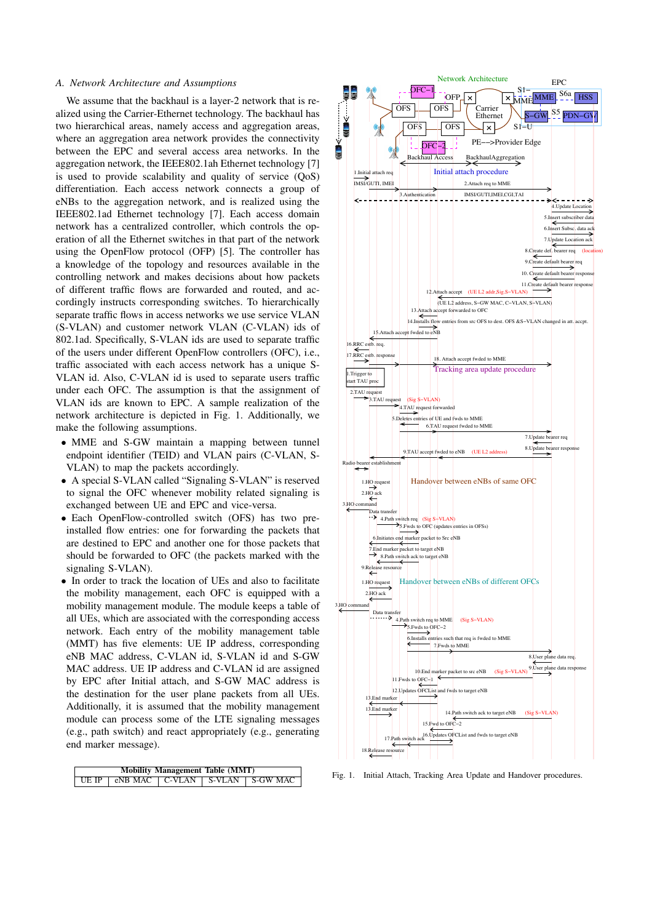# *A. Network Architecture and Assumptions*

We assume that the backhaul is a layer-2 network that is realized using the Carrier-Ethernet technology. The backhaul has two hierarchical areas, namely access and aggregation areas, where an aggregation area network provides the connectivity between the EPC and several access area networks. In the aggregation network, the IEEE802.1ah Ethernet technology [7] is used to provide scalability and quality of service (QoS) differentiation. Each access network connects a group of eNBs to the aggregation network, and is realized using the IEEE802.1ad Ethernet technology [7]. Each access domain network has a centralized controller, which controls the operation of all the Ethernet switches in that part of the network using the OpenFlow protocol (OFP) [5]. The controller has a knowledge of the topology and resources available in the controlling network and makes decisions about how packets of different traffic flows are forwarded and routed, and accordingly instructs corresponding switches. To hierarchically separate traffic flows in access networks we use service VLAN (S-VLAN) and customer network VLAN (C-VLAN) ids of 802.1ad. Specifically, S-VLAN ids are used to separate traffic of the users under different OpenFlow controllers (OFC), i.e., traffic associated with each access network has a unique S-VLAN id. Also, C-VLAN id is used to separate users traffic under each OFC. The assumption is that the assignment of VLAN ids are known to EPC. A sample realization of the network architecture is depicted in Fig. 1. Additionally, we make the following assumptions.

- MME and S-GW maintain a mapping between tunnel endpoint identifier (TEID) and VLAN pairs (C-VLAN, S-VLAN) to map the packets accordingly.
- *•* A special S-VLAN called "Signaling S-VLAN" is reserved to signal the OFC whenever mobility related signaling is exchanged between UE and EPC and vice-versa.
- *•* Each OpenFlow-controlled switch (OFS) has two preinstalled flow entries: one for forwarding the packets that are destined to EPC and another one for those packets that should be forwarded to OFC (the packets marked with the signaling S-VLAN).
- *•* In order to track the location of UEs and also to facilitate the mobility management, each OFC is equipped with a mobility management module. The module keeps a table of all UEs, which are associated with the corresponding access network. Each entry of the mobility management table (MMT) has five elements: UE IP address, corresponding eNB MAC address, C-VLAN id, S-VLAN id and S-GW MAC address. UE IP address and C-VLAN id are assigned by EPC after Initial attach, and S-GW MAC address is the destination for the user plane packets from all UEs. Additionally, it is assumed that the mobility management module can process some of the LTE signaling messages (e.g., path switch) and react appropriately (e.g., generating end marker message).

Mobility Management Table (MMT) UE IP eNB MAC C-VLAN S-VLAN S-GW MAC



Fig. 1. Initial Attach, Tracking Area Update and Handover procedures.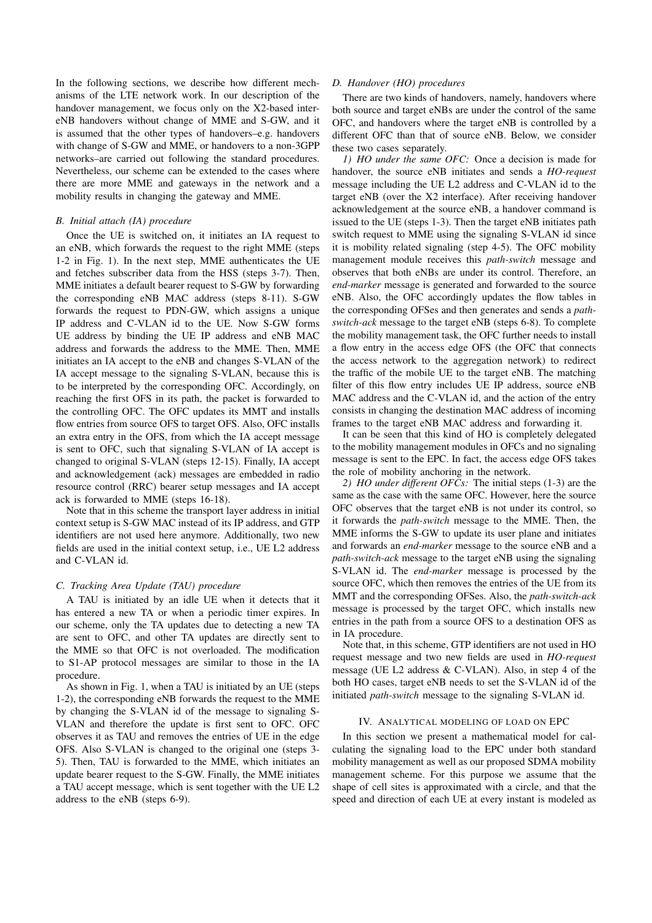In the following sections, we describe how different mechanisms of the LTE network work. In our description of the handover management, we focus only on the X2-based intereNB handovers without change of MME and S-GW, and it is assumed that the other types of handovers–e.g. handovers with change of S-GW and MME, or handovers to a non-3GPP networks–are carried out following the standard procedures. Nevertheless, our scheme can be extended to the cases where there are more MME and gateways in the network and a mobility results in changing the gateway and MME.

# *B. Initial attach (IA) procedure*

Once the UE is switched on, it initiates an IA request to an eNB, which forwards the request to the right MME (steps 1-2 in Fig. 1). In the next step, MME authenticates the UE and fetches subscriber data from the HSS (steps 3-7). Then, MME initiates a default bearer request to S-GW by forwarding the corresponding eNB MAC address (steps 8-11). S-GW forwards the request to PDN-GW, which assigns a unique IP address and C-VLAN id to the UE. Now S-GW forms UE address by binding the UE IP address and eNB MAC address and forwards the address to the MME. Then, MME initiates an IA accept to the eNB and changes S-VLAN of the IA accept message to the signaling S-VLAN, because this is to be interpreted by the corresponding OFC. Accordingly, on reaching the first OFS in its path, the packet is forwarded to the controlling OFC. The OFC updates its MMT and installs flow entries from source OFS to target OFS. Also, OFC installs an extra entry in the OFS, from which the IA accept message is sent to OFC, such that signaling S-VLAN of IA accept is changed to original S-VLAN (steps 12-15). Finally, IA accept and acknowledgement (ack) messages are embedded in radio resource control (RRC) bearer setup messages and IA accept ack is forwarded to MME (steps 16-18).

Note that in this scheme the transport layer address in initial context setup is S-GW MAC instead of its IP address, and GTP identifiers are not used here anymore. Additionally, two new fields are used in the initial context setup, i.e., UE L2 address and C-VLAN id.

#### *C. Tracking Area Update (TAU) procedure*

A TAU is initiated by an idle UE when it detects that it has entered a new TA or when a periodic timer expires. In our scheme, only the TA updates due to detecting a new TA are sent to OFC, and other TA updates are directly sent to the MME so that OFC is not overloaded. The modification to S1-AP protocol messages are similar to those in the IA procedure.

As shown in Fig. 1, when a TAU is initiated by an UE (steps 1-2), the corresponding eNB forwards the request to the MME by changing the S-VLAN id of the message to signaling S-VLAN and therefore the update is first sent to OFC. OFC observes it as TAU and removes the entries of UE in the edge OFS. Also S-VLAN is changed to the original one (steps 3- 5). Then, TAU is forwarded to the MME, which initiates an update bearer request to the S-GW. Finally, the MME initiates a TAU accept message, which is sent together with the UE L2 address to the eNB (steps 6-9).

## *D. Handover (HO) procedures*

There are two kinds of handovers, namely, handovers where both source and target eNBs are under the control of the same OFC, and handovers where the target eNB is controlled by a different OFC than that of source eNB. Below, we consider these two cases separately.

*1) HO under the same OFC:* Once a decision is made for handover, the source eNB initiates and sends a *HO-request* message including the UE L2 address and C-VLAN id to the target eNB (over the X2 interface). After receiving handover acknowledgement at the source eNB, a handover command is issued to the UE (steps 1-3). Then the target eNB initiates path switch request to MME using the signaling S-VLAN id since it is mobility related signaling (step 4-5). The OFC mobility management module receives this *path-switch* message and observes that both eNBs are under its control. Therefore, an *end-marker* message is generated and forwarded to the source eNB. Also, the OFC accordingly updates the flow tables in the corresponding OFSes and then generates and sends a *pathswitch-ack* message to the target eNB (steps 6-8). To complete the mobility management task, the OFC further needs to install a flow entry in the access edge OFS (the OFC that connects the access network to the aggregation network) to redirect the traffic of the mobile UE to the target eNB. The matching filter of this flow entry includes UE IP address, source eNB MAC address and the C-VLAN id, and the action of the entry consists in changing the destination MAC address of incoming frames to the target eNB MAC address and forwarding it.

It can be seen that this kind of HO is completely delegated to the mobility management modules in OFCs and no signaling message is sent to the EPC. In fact, the access edge OFS takes the role of mobility anchoring in the network.

*2) HO under different OFCs:* The initial steps (1-3) are the same as the case with the same OFC. However, here the source OFC observes that the target eNB is not under its control, so it forwards the *path-switch* message to the MME. Then, the MME informs the S-GW to update its user plane and initiates and forwards an *end-marker* message to the source eNB and a *path-switch-ack* message to the target eNB using the signaling S-VLAN id. The *end-marker* message is processed by the source OFC, which then removes the entries of the UE from its MMT and the corresponding OFSes. Also, the *path-switch-ack* message is processed by the target OFC, which installs new entries in the path from a source OFS to a destination OFS as in IA procedure.

Note that, in this scheme, GTP identifiers are not used in HO request message and two new fields are used in *HO-request* message (UE L2 address & C-VLAN). Also, in step 4 of the both HO cases, target eNB needs to set the S-VLAN id of the initiated *path-switch* message to the signaling S-VLAN id.

#### IV. ANALYTICAL MODELING OF LOAD ON EPC

In this section we present a mathematical model for calculating the signaling load to the EPC under both standard mobility management as well as our proposed SDMA mobility management scheme. For this purpose we assume that the shape of cell sites is approximated with a circle, and that the speed and direction of each UE at every instant is modeled as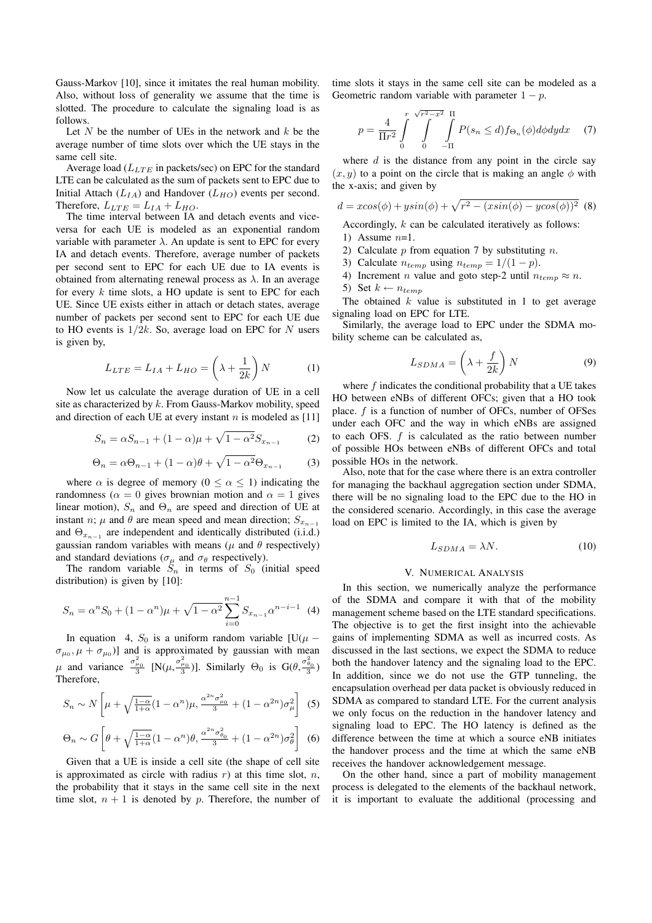Gauss-Markov [10], since it imitates the real human mobility. Also, without loss of generality we assume that the time is slotted. The procedure to calculate the signaling load is as follows.

Let *N* be the number of UEs in the network and *k* be the average number of time slots over which the UE stays in the same cell site.

Average load (*LLT E* in packets/sec) on EPC for the standard LTE can be calculated as the sum of packets sent to EPC due to Initial Attach  $(L_{IA})$  and Handover  $(L_{HO})$  events per second. Therefore,  $L_{LTE} = L_{IA} + L_{HO}$ .

The time interval between IA and detach events and viceversa for each UE is modeled as an exponential random variable with parameter  $\lambda$ . An update is sent to EPC for every IA and detach events. Therefore, average number of packets per second sent to EPC for each UE due to IA events is obtained from alternating renewal process as  $\lambda$ . In an average for every *k* time slots, a HO update is sent to EPC for each UE. Since UE exists either in attach or detach states, average number of packets per second sent to EPC for each UE due to HO events is 1*/*2*k*. So, average load on EPC for *N* users is given by,

$$
L_{LTE} = L_{IA} + L_{HO} = \left(\lambda + \frac{1}{2k}\right)N\tag{1}
$$

Now let us calculate the average duration of UE in a cell site as characterized by *k*. From Gauss-Markov mobility, speed and direction of each UE at every instant *n* is modeled as [11]

$$
S_n = \alpha S_{n-1} + (1 - \alpha)\mu + \sqrt{1 - \alpha^2} S_{x_{n-1}} \tag{2}
$$

$$
\Theta_n = \alpha \Theta_{n-1} + (1 - \alpha)\theta + \sqrt{1 - \alpha^2} \Theta_{x_{n-1}} \tag{3}
$$

where  $\alpha$  is degree of memory ( $0 \leq \alpha \leq 1$ ) indicating the randomness ( $\alpha = 0$  gives brownian motion and  $\alpha = 1$  gives linear motion),  $S_n$  and  $\Theta_n$  are speed and direction of UE at instant *n*;  $\mu$  and  $\theta$  are mean speed and mean direction;  $S_{x_{n-1}}$ and  $\Theta_{x_{n-1}}$  are independent and identically distributed (i.i.d.) gaussian random variables with means ( $\mu$  and  $\theta$  respectively) and standard deviations ( $\sigma_{\mu}$  and  $\sigma_{\theta}$  respectively).

The random variable  $S_n$  in terms of  $S_0$  (initial speed distribution) is given by [10]:

$$
S_n = \alpha^n S_0 + (1 - \alpha^n)\mu + \sqrt{1 - \alpha^2} \sum_{i=0}^{n-1} S_{x_{n-1}} \alpha^{n-i-1}
$$
 (4)

In equation 4,  $S_0$  is a uniform random variable  $[U(\mu \sigma_{\mu_0}, \mu + \sigma_{\mu_0}$ )] and is approximated by gaussian with mean  $\mu$  and variance  $\frac{\sigma_{\mu_0}^2}{3}$  [N( $\mu$ ,  $\frac{\sigma_{\mu_0}^2}{3}$ )]. Similarly  $\Theta_0$  is  $G(\theta, \frac{\sigma_{\theta_0}^2}{3})$ Therefore,

$$
S_n \sim N\left[\mu + \sqrt{\frac{1-\alpha}{1+\alpha}}(1-\alpha^n)\mu, \frac{\alpha^{2n}\sigma_{\mu_0}^2}{3} + (1-\alpha^{2n})\sigma_{\mu}^2\right]
$$
 (5)

$$
\Theta_n \sim G \left[ \theta + \sqrt{\frac{1-\alpha}{1+\alpha}} (1-\alpha^n) \theta, \frac{\alpha^{2n} \sigma_{\theta_0}^2}{3} + (1-\alpha^{2n}) \sigma_{\theta}^2 \right] \tag{6}
$$

Given that a UE is inside a cell site (the shape of cell site is approximated as circle with radius *r*) at this time slot, *n*, the probability that it stays in the same cell site in the next time slot,  $n + 1$  is denoted by *p*. Therefore, the number of time slots it stays in the same cell site can be modeled as a Geometric random variable with parameter  $1 - p$ .

$$
p = \frac{4}{\Pi r^2} \int\limits_0^r \int\limits_0^{\sqrt{r^2 - x^2}} \int\limits_{-\Pi}^{\Pi} P(s_n \le d) f_{\Theta_n}(\phi) d\phi dy dx \quad (7)
$$

where  $d$  is the distance from any point in the circle say  $(x, y)$  to a point on the circle that is making an angle  $\phi$  with the x-axis; and given by

$$
d = x\cos(\phi) + y\sin(\phi) + \sqrt{r^2 - (x\sin(\phi) - y\cos(\phi))^2}
$$
 (8)

Accordingly, *k* can be calculated iteratively as follows:

1) Assume *n*=1.

- 2) Calculate *p* from equation 7 by substituting *n*.
- 3) Calculate  $n_{temp}$  using  $n_{temp} = 1/(1-p)$ .
- 4) Increment *n* value and goto step-2 until  $n_{temp} \approx n$ .

5) Set  $k \leftarrow n_{temp}$ 

The obtained *k* value is substituted in 1 to get average signaling load on EPC for LTE.

Similarly, the average load to EPC under the SDMA mobility scheme can be calculated as,

$$
L_{SDMA} = \left(\lambda + \frac{f}{2k}\right)N\tag{9}
$$

where *f* indicates the conditional probability that a UE takes HO between eNBs of different OFCs; given that a HO took place. *f* is a function of number of OFCs, number of OFSes under each OFC and the way in which eNBs are assigned to each OFS. *f* is calculated as the ratio between number of possible HOs between eNBs of different OFCs and total possible HOs in the network.

Also, note that for the case where there is an extra controller for managing the backhaul aggregation section under SDMA, there will be no signaling load to the EPC due to the HO in the considered scenario. Accordingly, in this case the average load on EPC is limited to the IA, which is given by

$$
L_{SDMA} = \lambda N. \tag{10}
$$

#### V. NUMERICAL ANALYSIS

In this section, we numerically analyze the performance of the SDMA and compare it with that of the mobility management scheme based on the LTE standard specifications. The objective is to get the first insight into the achievable gains of implementing SDMA as well as incurred costs. As discussed in the last sections, we expect the SDMA to reduce both the handover latency and the signaling load to the EPC. In addition, since we do not use the GTP tunneling, the encapsulation overhead per data packet is obviously reduced in SDMA as compared to standard LTE. For the current analysis we only focus on the reduction in the handover latency and signaling load to EPC. The HO latency is defined as the difference between the time at which a source eNB initiates the handover process and the time at which the same eNB receives the handover acknowledgement message.

On the other hand, since a part of mobility management process is delegated to the elements of the backhaul network, it is important to evaluate the additional (processing and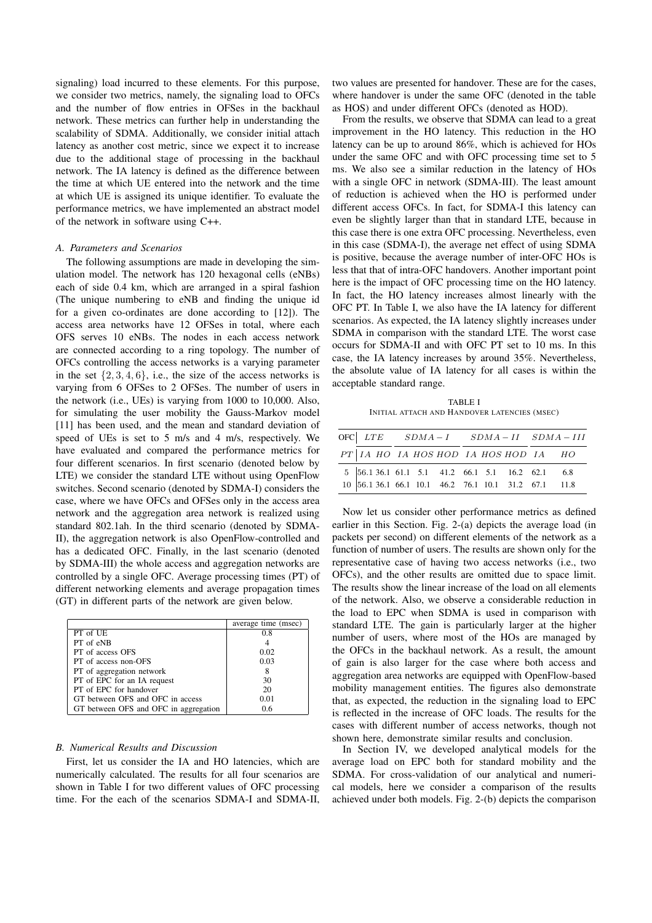signaling) load incurred to these elements. For this purpose, we consider two metrics, namely, the signaling load to OFCs and the number of flow entries in OFSes in the backhaul network. These metrics can further help in understanding the scalability of SDMA. Additionally, we consider initial attach latency as another cost metric, since we expect it to increase due to the additional stage of processing in the backhaul network. The IA latency is defined as the difference between the time at which UE entered into the network and the time at which UE is assigned its unique identifier. To evaluate the performance metrics, we have implemented an abstract model of the network in software using C++.

## *A. Parameters and Scenarios*

The following assumptions are made in developing the simulation model. The network has 120 hexagonal cells (eNBs) each of side 0.4 km, which are arranged in a spiral fashion (The unique numbering to eNB and finding the unique id for a given co-ordinates are done according to [12]). The access area networks have 12 OFSes in total, where each OFS serves 10 eNBs. The nodes in each access network are connected according to a ring topology. The number of OFCs controlling the access networks is a varying parameter in the set  $\{2, 3, 4, 6\}$ , i.e., the size of the access networks is varying from 6 OFSes to 2 OFSes. The number of users in the network (i.e., UEs) is varying from 1000 to 10,000. Also, for simulating the user mobility the Gauss-Markov model [11] has been used, and the mean and standard deviation of speed of UEs is set to 5 m/s and 4 m/s, respectively. We have evaluated and compared the performance metrics for four different scenarios. In first scenario (denoted below by LTE) we consider the standard LTE without using OpenFlow switches. Second scenario (denoted by SDMA-I) considers the case, where we have OFCs and OFSes only in the access area network and the aggregation area network is realized using standard 802.1ah. In the third scenario (denoted by SDMA-II), the aggregation network is also OpenFlow-controlled and has a dedicated OFC. Finally, in the last scenario (denoted by SDMA-III) the whole access and aggregation networks are controlled by a single OFC. Average processing times (PT) of different networking elements and average propagation times (GT) in different parts of the network are given below.

|                                       | average time (msec) |
|---------------------------------------|---------------------|
| PT of UE                              | 0.8                 |
| PT of eNB                             |                     |
| PT of access OFS                      | 0.02                |
| PT of access non-OFS                  | 0.03                |
| PT of aggregation network             |                     |
| PT of EPC for an IA request           | 30                  |
| PT of EPC for handover                | 20                  |
| GT between OFS and OFC in access      | 0.01                |
| GT between OFS and OFC in aggregation | 06                  |

## *B. Numerical Results and Discussion*

First, let us consider the IA and HO latencies, which are numerically calculated. The results for all four scenarios are shown in Table I for two different values of OFC processing time. For the each of the scenarios SDMA-I and SDMA-II,

two values are presented for handover. These are for the cases, where handover is under the same OFC (denoted in the table as HOS) and under different OFCs (denoted as HOD).

From the results, we observe that SDMA can lead to a great improvement in the HO latency. This reduction in the HO latency can be up to around 86%, which is achieved for HOs under the same OFC and with OFC processing time set to 5 ms. We also see a similar reduction in the latency of HOs with a single OFC in network (SDMA-III). The least amount of reduction is achieved when the HO is performed under different access OFCs. In fact, for SDMA-I this latency can even be slightly larger than that in standard LTE, because in this case there is one extra OFC processing. Nevertheless, even in this case (SDMA-I), the average net effect of using SDMA is positive, because the average number of inter-OFC HOs is less that that of intra-OFC handovers. Another important point here is the impact of OFC processing time on the HO latency. In fact, the HO latency increases almost linearly with the OFC PT. In Table I, we also have the IA latency for different scenarios. As expected, the IA latency slightly increases under SDMA in comparison with the standard LTE. The worst case occurs for SDMA-II and with OFC PT set to 10 ms. In this case, the IA latency increases by around 35%. Nevertheless, the absolute value of IA latency for all cases is within the acceptable standard range.

TABLE I INITIAL ATTACH AND HANDOVER LATENCIES (MSEC)

|  |  |  |  | $OFC$ $LTE$ $SDMA-I$ $SDMA-II$ $SDMA-III$ |  |  |  |  |                                                                                                                                                                                         |
|--|--|--|--|-------------------------------------------|--|--|--|--|-----------------------------------------------------------------------------------------------------------------------------------------------------------------------------------------|
|  |  |  |  |                                           |  |  |  |  | $PT$ <i>IA HO IA HOS HOD IA HOS HOD IA HO</i>                                                                                                                                           |
|  |  |  |  |                                           |  |  |  |  | $\begin{array}{ccccccccc} 5 & 56.1 & 36.1 & 61.1 & 5.1 & 41.2 & 66.1 & 5.1 & 16.2 & 62.1 & 6.8 \\ 10 & 56.1 & 36.1 & 66.1 & 10.1 & 46.2 & 76.1 & 10.1 & 31.2 & 67.1 & 11.8 \end{array}$ |
|  |  |  |  |                                           |  |  |  |  |                                                                                                                                                                                         |

Now let us consider other performance metrics as defined earlier in this Section. Fig. 2-(a) depicts the average load (in packets per second) on different elements of the network as a function of number of users. The results are shown only for the representative case of having two access networks (i.e., two OFCs), and the other results are omitted due to space limit. The results show the linear increase of the load on all elements of the network. Also, we observe a considerable reduction in the load to EPC when SDMA is used in comparison with standard LTE. The gain is particularly larger at the higher number of users, where most of the HOs are managed by the OFCs in the backhaul network. As a result, the amount of gain is also larger for the case where both access and aggregation area networks are equipped with OpenFlow-based mobility management entities. The figures also demonstrate that, as expected, the reduction in the signaling load to EPC is reflected in the increase of OFC loads. The results for the cases with different number of access networks, though not shown here, demonstrate similar results and conclusion.

In Section IV, we developed analytical models for the average load on EPC both for standard mobility and the SDMA. For cross-validation of our analytical and numerical models, here we consider a comparison of the results achieved under both models. Fig. 2-(b) depicts the comparison